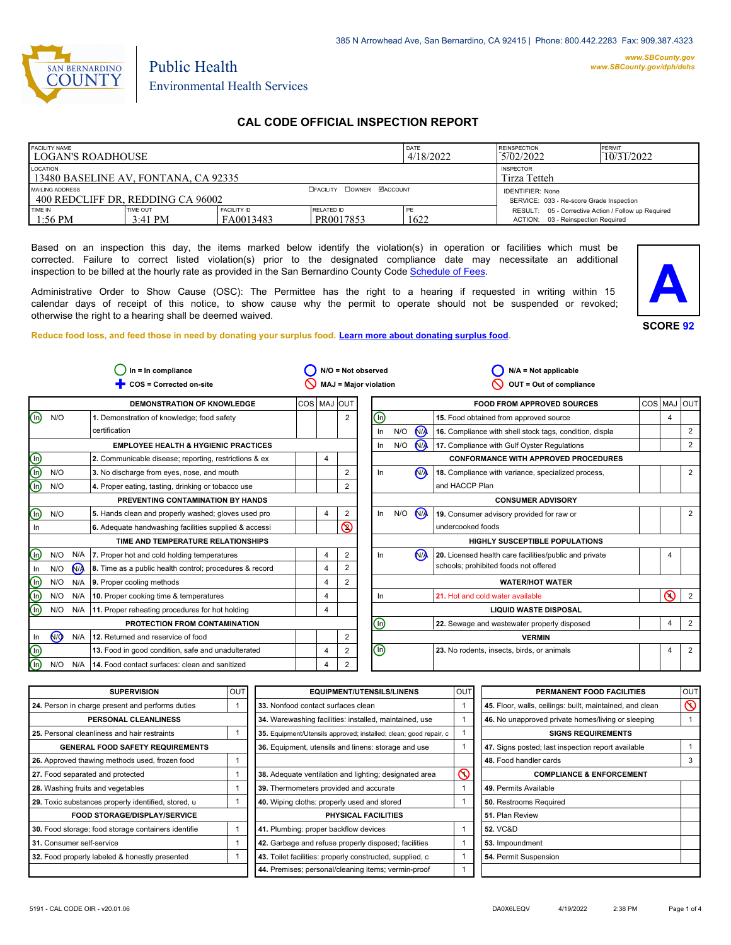

*www.SBCounty.gov [www.SBCounty.gov/dph/dehs](http://www.sbcounty.gov/dph/ehsportal)*

# Public Health Environmental Health Services

# **CAL CODE OFFICIAL INSPECTION REPORT**

| <b>FACILITY NAME</b>                                 |           | <b>REINSPECTION</b>              | PFRMIT                                     |      |                                                                     |  |
|------------------------------------------------------|-----------|----------------------------------|--------------------------------------------|------|---------------------------------------------------------------------|--|
| LOGAN'S ROADHOUSE                                    |           | 5/02/2022                        | 10/31/2022                                 |      |                                                                     |  |
| LOCATION<br>13480 BASELINE AV, FONTANA, CA 92335     |           | <b>INSPECTOR</b><br>Tirza Tetteh |                                            |      |                                                                     |  |
| MAILING ADDRESS<br>400 REDCLIFF DR. REDDING CA 96002 |           |                                  | <b>DOWNER MACCOUNT</b><br><b>EFACILITY</b> |      | <b>IDENTIFIER: None</b><br>SERVICE: 033 - Re-score Grade Inspection |  |
| TIME IN                                              | TIME OUT  | <b>FACILITY ID</b>               | RELATED ID                                 | PE   | RESULT: 05 - Corrective Action / Follow up Required                 |  |
| $1:56$ PM                                            | $3:41$ PM | FA0013483                        | PR0017853                                  | 1622 | ACTION: 03 - Reinspection Required                                  |  |

Based on an inspection this day, the items marked below identify the violation(s) in operation or facilities which must be corrected. Failure to correct listed violation(s) prior to the designated compliance date may necessitate an additional inspection to be billed at the hourly rate as provided in the San Bernardino County Co[de Schedule of Fees.](https://codelibrary.amlegal.com/codes/sanbernardino/latest/sanberncty_ca/0-0-0-122474#JD_16.0213B)

Administrative Order to Show Cause (OSC): The Permittee has the right to a hearing if requested in writing within 15 calendar days of receipt of this notice, to show cause why the permit to operate should not be suspended or revoked; otherwise the right to a hearing shall be deemed waived.



#### **Reduce food loss, and feed those in need by donating your surplus f[ood. Learn more about donating surplus food.](https://wp.sbcounty.gov/dph/programs/ehs/charitable-food-service/)**

|     |            |                | In = In compliance                                      |             |                | $N/O = Not observed$         |     |                | $N/A = Not applicable$                                  |                |                |
|-----|------------|----------------|---------------------------------------------------------|-------------|----------------|------------------------------|-----|----------------|---------------------------------------------------------|----------------|----------------|
|     |            |                | COS = Corrected on-site                                 |             |                | <b>MAJ = Major violation</b> |     |                | OUT = Out of compliance                                 |                |                |
|     |            |                | <b>DEMONSTRATION OF KNOWLEDGE</b>                       | COS MAJ OUT |                |                              |     |                | <b>FOOD FROM APPROVED SOURCES</b>                       | COS MAJ OUT    |                |
| In) | N/O        |                | 1. Demonstration of knowledge; food safety              |             | $\overline{2}$ | (ŋ)                          |     |                | 15. Food obtained from approved source                  | 4              |                |
|     |            |                | certification                                           |             |                | In                           | N/O | N <sub>1</sub> | 16. Compliance with shell stock tags, condition, displa |                | 2              |
|     |            |                | <b>EMPLOYEE HEALTH &amp; HYGIENIC PRACTICES</b>         |             |                | In                           | N/O | N              | 17. Compliance with Gulf Oyster Regulations             |                | $\overline{2}$ |
|     |            |                | 2. Communicable disease; reporting, restrictions & ex   | 4           |                |                              |     |                | <b>CONFORMANCE WITH APPROVED PROCEDURES</b>             |                |                |
|     | N/O        |                | 3. No discharge from eyes, nose, and mouth              |             | 2              | In.                          |     | N <sub>A</sub> | 18. Compliance with variance, specialized process,      |                | $\overline{2}$ |
|     | N/O        |                | 4. Proper eating, tasting, drinking or tobacco use      |             | 2              |                              |     |                | and HACCP Plan                                          |                |                |
|     |            |                | PREVENTING CONTAMINATION BY HANDS                       |             |                |                              |     |                | <b>CONSUMER ADVISORY</b>                                |                |                |
|     | N/O        |                | 5. Hands clean and properly washed; gloves used pro     | 4           | 2              | In                           | N/O | N <sub>A</sub> | 19. Consumer advisory provided for raw or               |                | $\overline{2}$ |
|     |            |                | 6. Adequate handwashing facilities supplied & accessi   |             | $\circledcirc$ |                              |     |                | undercooked foods                                       |                |                |
|     |            |                | TIME AND TEMPERATURE RELATIONSHIPS                      |             |                |                              |     |                | <b>HIGHLY SUSCEPTIBLE POPULATIONS</b>                   |                |                |
|     | N/O        |                | N/A 7. Proper hot and cold holding temperatures         | 4           | 2              | In.                          |     | N <sub>A</sub> | 20. Licensed health care facilities/public and private  | 4              |                |
|     | N/O        | N <sub>A</sub> | 8. Time as a public health control; procedures & record | Δ           | 2              |                              |     |                | schools; prohibited foods not offered                   |                |                |
|     | N/O        | N/A            | 9. Proper cooling methods                               | 4           | $\overline{2}$ |                              |     |                | <b>WATER/HOT WATER</b>                                  |                |                |
|     | N/O        | N/A            | 10. Proper cooking time & temperatures                  | 4           |                | In                           |     |                | 21. Hot and cold water available                        | $\Omega$       | $\overline{2}$ |
|     | N/O        |                | N/A 11. Proper reheating procedures for hot holding     | 4           |                |                              |     |                | <b>LIQUID WASTE DISPOSAL</b>                            |                |                |
|     |            |                | PROTECTION FROM CONTAMINATION                           |             |                | (?)                          |     |                | 22. Sewage and wastewater properly disposed             | 4              | 2              |
|     | $\sqrt{9}$ | N/A            | 12. Returned and reservice of food                      |             | 2              |                              |     |                | <b>VERMIN</b>                                           |                |                |
|     |            |                | 13. Food in good condition, safe and unadulterated      | 4           | $\overline{2}$ | $\mathbb O$                  |     |                | 23. No rodents, insects, birds, or animals              | $\overline{4}$ | $\overline{2}$ |
|     | N/O        | N/A            | 14. Food contact surfaces: clean and sanitized          | 4           | $\overline{2}$ |                              |     |                |                                                         |                |                |
|     |            |                |                                                         |             |                |                              |     |                |                                                         |                |                |

| <b>SUPERVISION</b>                                  | OUT | <b>EQUIPMENT/UTENSILS/LINENS</b>                                  | OU <sub>1</sub> | PERMANENT FOOD FACILITIES                                | lout     |
|-----------------------------------------------------|-----|-------------------------------------------------------------------|-----------------|----------------------------------------------------------|----------|
| 24. Person in charge present and performs duties    |     | 33. Nonfood contact surfaces clean                                |                 | 45. Floor, walls, ceilings: built, maintained, and clean | $\infty$ |
| PERSONAL CLEANLINESS                                |     | 34. Warewashing facilities: installed, maintained, use            |                 | 46. No unapproved private homes/living or sleeping       |          |
| 25. Personal cleanliness and hair restraints        |     | 35. Equipment/Utensils approved; installed; clean; good repair, c |                 | <b>SIGNS REQUIREMENTS</b>                                |          |
| <b>GENERAL FOOD SAFETY REQUIREMENTS</b>             |     | 36. Equipment, utensils and linens: storage and use               |                 | 47. Signs posted; last inspection report available       |          |
| 26. Approved thawing methods used, frozen food      |     |                                                                   |                 | 48. Food handler cards                                   | 3        |
| 27. Food separated and protected                    |     | 38. Adequate ventilation and lighting; designated area            | S               | <b>COMPLIANCE &amp; ENFORCEMENT</b>                      |          |
| 28. Washing fruits and vegetables                   |     | 39. Thermometers provided and accurate                            |                 | 49. Permits Available                                    |          |
| 29. Toxic substances properly identified, stored, u |     | 40. Wiping cloths: properly used and stored                       |                 | 50. Restrooms Required                                   |          |
| <b>FOOD STORAGE/DISPLAY/SERVICE</b>                 |     | <b>PHYSICAL FACILITIES</b>                                        |                 | 51. Plan Review                                          |          |
| 30. Food storage; food storage containers identifie |     | 41. Plumbing: proper backflow devices                             |                 | <b>52. VC&amp;D</b>                                      |          |
| 31. Consumer self-service                           |     | 42. Garbage and refuse properly disposed; facilities              |                 | 53. Impoundment                                          |          |
| 32. Food properly labeled & honestly presented      |     | 43. Toilet facilities: properly constructed, supplied, c          |                 | 54. Permit Suspension                                    |          |
|                                                     |     | 44. Premises; personal/cleaning items; vermin-proof               |                 |                                                          |          |

 $\bigcirc$ 

 $\overline{\mathbb{Q}}$  $\overline{\mathbb{Q}}$  $\bigcirc$ 

 $\circledcirc$ 

 $\bigcirc$ 

⊚  $\overline{\mathbb{Q}}$  $\bigcirc$ 

 $\overline{\mathbb{Q}}$  $\circledcirc$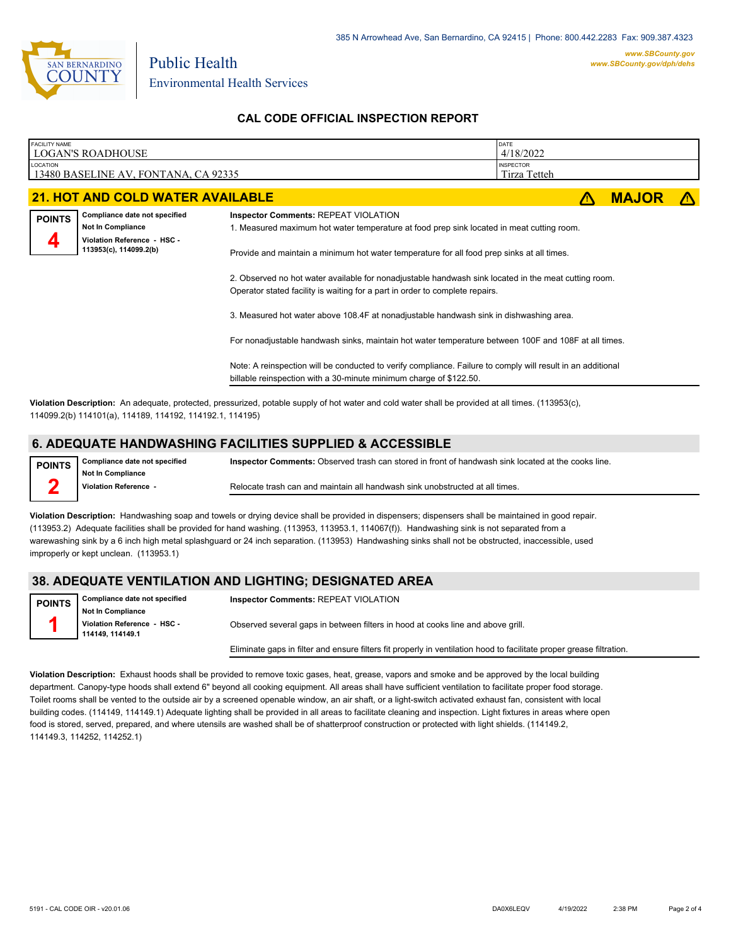

Environmental Health Services

Public Health

## **CAL CODE OFFICIAL INSPECTION REPORT**

| <b>FACILITY NAME</b> | <b>LOGAN'S ROADHOUSE</b>                                                                                    |                                                                                                                                                                                                                                                                                                                                                                                                                                                                                                                                                                                                                                                                                                                                                 | DATE<br>4/18/2022                |              |  |
|----------------------|-------------------------------------------------------------------------------------------------------------|-------------------------------------------------------------------------------------------------------------------------------------------------------------------------------------------------------------------------------------------------------------------------------------------------------------------------------------------------------------------------------------------------------------------------------------------------------------------------------------------------------------------------------------------------------------------------------------------------------------------------------------------------------------------------------------------------------------------------------------------------|----------------------------------|--------------|--|
| <b>LOCATION</b>      | 13480 BASELINE AV, FONTANA, CA 92335                                                                        |                                                                                                                                                                                                                                                                                                                                                                                                                                                                                                                                                                                                                                                                                                                                                 | <b>INSPECTOR</b><br>Tirza Tetteh |              |  |
|                      | <b>21. HOT AND COLD WATER AVAILABLE</b>                                                                     |                                                                                                                                                                                                                                                                                                                                                                                                                                                                                                                                                                                                                                                                                                                                                 |                                  | <b>MAJOR</b> |  |
| <b>POINTS</b>        | Compliance date not specified<br>Not In Compliance<br>Violation Reference - HSC -<br>113953(c), 114099.2(b) | <b>Inspector Comments: REPEAT VIOLATION</b><br>1. Measured maximum hot water temperature at food prep sink located in meat cutting room.<br>Provide and maintain a minimum hot water temperature for all food prep sinks at all times.<br>2. Observed no hot water available for nonadjustable handwash sink located in the meat cutting room.<br>Operator stated facility is waiting for a part in order to complete repairs.<br>3. Measured hot water above 108.4F at nonadjustable handwash sink in dishwashing area.<br>For nonadjustable handwash sinks, maintain hot water temperature between 100F and 108F at all times.<br>Note: A reinspection will be conducted to verify compliance. Failure to comply will result in an additional |                                  |              |  |
|                      |                                                                                                             | billable reinspection with a 30-minute minimum charge of \$122.50.                                                                                                                                                                                                                                                                                                                                                                                                                                                                                                                                                                                                                                                                              |                                  |              |  |

**Violation Description:** An adequate, protected, pressurized, potable supply of hot water and cold water shall be provided at all times. (113953(c), 114099.2(b) 114101(a), 114189, 114192, 114192.1, 114195)

### **6. ADEQUATE HANDWASHING FACILITIES SUPPLIED & ACCESSIBLE**

**Compliance date not specified Not In Compliance Violation Reference - POINTS 2 Inspector Comments:** Observed trash can stored in front of handwash sink located at the cooks line. Relocate trash can and maintain all handwash sink unobstructed at all times.

**Violation Description:** Handwashing soap and towels or drying device shall be provided in dispensers; dispensers shall be maintained in good repair. (113953.2) Adequate facilities shall be provided for hand washing. (113953, 113953.1, 114067(f)). Handwashing sink is not separated from a warewashing sink by a 6 inch high metal splashguard or 24 inch separation. (113953) Handwashing sinks shall not be obstructed, inaccessible, used improperly or kept unclean. (113953.1)

### **38. ADEQUATE VENTILATION AND LIGHTING; DESIGNATED AREA**

| <b>POINTS</b> | Compliance date not specified                   | <b>Inspector Comments: REPEAT VIOLATION</b>                                                                          |
|---------------|-------------------------------------------------|----------------------------------------------------------------------------------------------------------------------|
|               | <b>Not In Compliance</b>                        |                                                                                                                      |
|               | Violation Reference - HSC -<br>114149, 114149.1 | Observed several gaps in between filters in hood at cooks line and above grill.                                      |
|               |                                                 | Eliminate gaps in filter and ensure filters fit properly in ventilation hood to facilitate proper grease filtration. |

**Violation Description:** Exhaust hoods shall be provided to remove toxic gases, heat, grease, vapors and smoke and be approved by the local building department. Canopy-type hoods shall extend 6" beyond all cooking equipment. All areas shall have sufficient ventilation to facilitate proper food storage. Toilet rooms shall be vented to the outside air by a screened openable window, an air shaft, or a light-switch activated exhaust fan, consistent with local building codes. (114149, 114149.1) Adequate lighting shall be provided in all areas to facilitate cleaning and inspection. Light fixtures in areas where open food is stored, served, prepared, and where utensils are washed shall be of shatterproof construction or protected with light shields. (114149.2, 114149.3, 114252, 114252.1)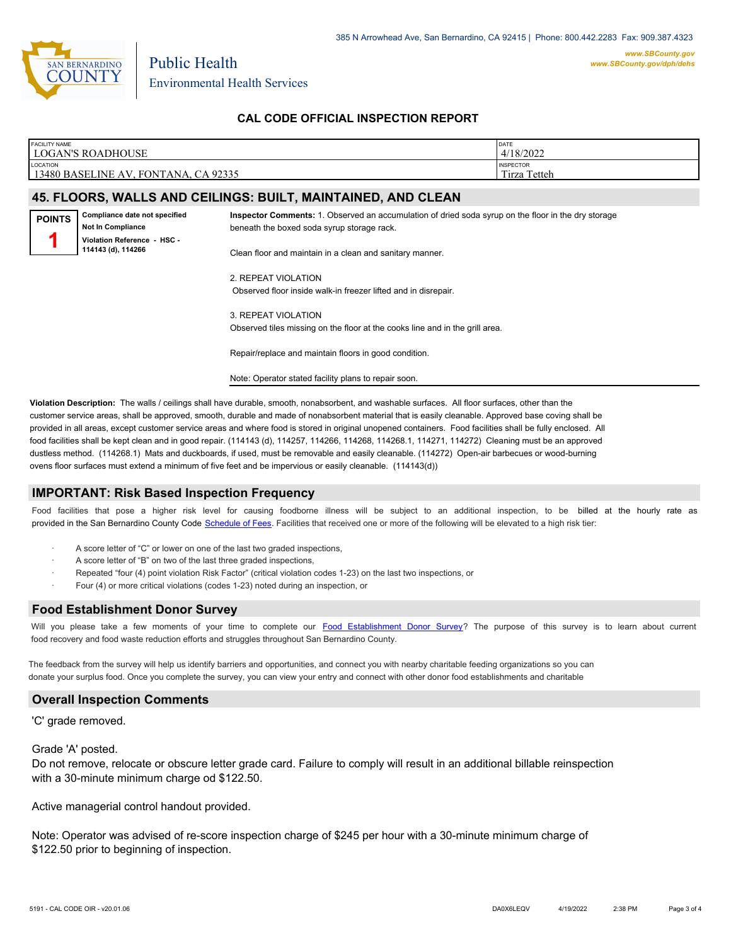

Environmental Health Services

Public Health

## **CAL CODE OFFICIAL INSPECTION REPORT**

| <b>FACILITY NAME</b>                                                         | <b>LOGAN'S ROADHOUSE</b>                                                                                                                        |                                                                                                                                                   | DATE<br>4/18/2022                |  |  |  |
|------------------------------------------------------------------------------|-------------------------------------------------------------------------------------------------------------------------------------------------|---------------------------------------------------------------------------------------------------------------------------------------------------|----------------------------------|--|--|--|
| <b>LOCATION</b>                                                              | 13480 BASELINE AV, FONTANA, CA 92335                                                                                                            |                                                                                                                                                   | <b>INSPECTOR</b><br>Tirza Tetteh |  |  |  |
|                                                                              |                                                                                                                                                 | 45. FLOORS, WALLS AND CEILINGS: BUILT, MAINTAINED, AND CLEAN                                                                                      |                                  |  |  |  |
| <b>POINTS</b>                                                                | Compliance date not specified<br><b>Not In Compliance</b><br>Violation Reference - HSC -                                                        | Inspector Comments: 1. Observed an accumulation of dried soda syrup on the floor in the dry storage<br>beneath the boxed soda syrup storage rack. |                                  |  |  |  |
|                                                                              | 114143 (d), 114266                                                                                                                              | Clean floor and maintain in a clean and sanitary manner.                                                                                          |                                  |  |  |  |
|                                                                              |                                                                                                                                                 | 2. REPEAT VIOLATION                                                                                                                               |                                  |  |  |  |
|                                                                              |                                                                                                                                                 | Observed floor inside walk-in freezer lifted and in disrepair.                                                                                    |                                  |  |  |  |
| 3. REPEAT VIOLATION                                                          |                                                                                                                                                 |                                                                                                                                                   |                                  |  |  |  |
| Observed tiles missing on the floor at the cooks line and in the grill area. |                                                                                                                                                 |                                                                                                                                                   |                                  |  |  |  |
|                                                                              |                                                                                                                                                 | Repair/replace and maintain floors in good condition.                                                                                             |                                  |  |  |  |
|                                                                              | Note: Operator stated facility plans to repair soon.                                                                                            |                                                                                                                                                   |                                  |  |  |  |
|                                                                              | Violation Description: The walls / ceilings shall have durable, smooth, nonabsorbent, and washable surfaces. All floor surfaces, other than the |                                                                                                                                                   |                                  |  |  |  |

customer service areas, shall be approved, smooth, durable and made of nonabsorbent material that is easily cleanable. Approved base coving shall be provided in all areas, except customer service areas and where food is stored in original unopened containers. Food facilities shall be fully enclosed. All food facilities shall be kept clean and in good repair. (114143 (d), 114257, 114266, 114268, 114268.1, 114271, 114272) Cleaning must be an approved dustless method. (114268.1) Mats and duckboards, if used, must be removable and easily cleanable. (114272) Open-air barbecues or wood-burning ovens floor surfaces must extend a minimum of five feet and be impervious or easily cleanable. (114143(d))

#### **IMPORTANT: Risk Based Inspection Frequency**

Food facilities that pose a higher risk level for causing foodborne illness will be subject to an additional inspection, to be billed at the hourly rate as provided in the San Bernardi[no County Code Schedule of Fees](https://codelibrary.amlegal.com/codes/sanbernardino/latest/sanberncty_ca/0-0-0-122474#JD_16.0213B). Facilities that received one or more of the following will be elevated to a high risk tier:

- A score letter of "C" or lower on one of the last two graded inspections,
- A score letter of "B" on two of the last three graded inspections,
- Repeated "four (4) point violation Risk Factor" (critical violation codes 1-23) on the last two inspections, or
- Four (4) or more critical violations (codes 1-23) noted during an inspection, or

#### **Food Establishment Donor Survey**

Will you please take a few moments of your time to co[mplete our Food Establishment Donor Survey?](https://survey123.arcgis.com/share/626bb0fb21674c82832b0c0d557c5e80?field:faid=FA0013483&field:facility_name=LOGAN) The purpose of this survey is to learn about current food recovery and food waste reduction efforts and struggles throughout San Bernardino County.

The feedback from the survey will help us identify barriers and opportunities, and connect you with nearby charitable feeding organizations so you can donate your surplus fo[od. Once you complete the su](https://arcg.is/WvjGb)rvey, you can view your entry and connect with other donor food establishments and charitable

#### **Overall Inspection Comments**

'C' grade removed.

Grade 'A' posted.

Do not remove, relocate or obscure letter grade card. Failure to comply will result in an additional billable reinspection with a 30-minute minimum charge od \$122.50.

Active managerial control handout provided.

Note: Operator was advised of re-score inspection charge of \$245 per hour with a 30-minute minimum charge of \$122.50 prior to beginning of inspection.